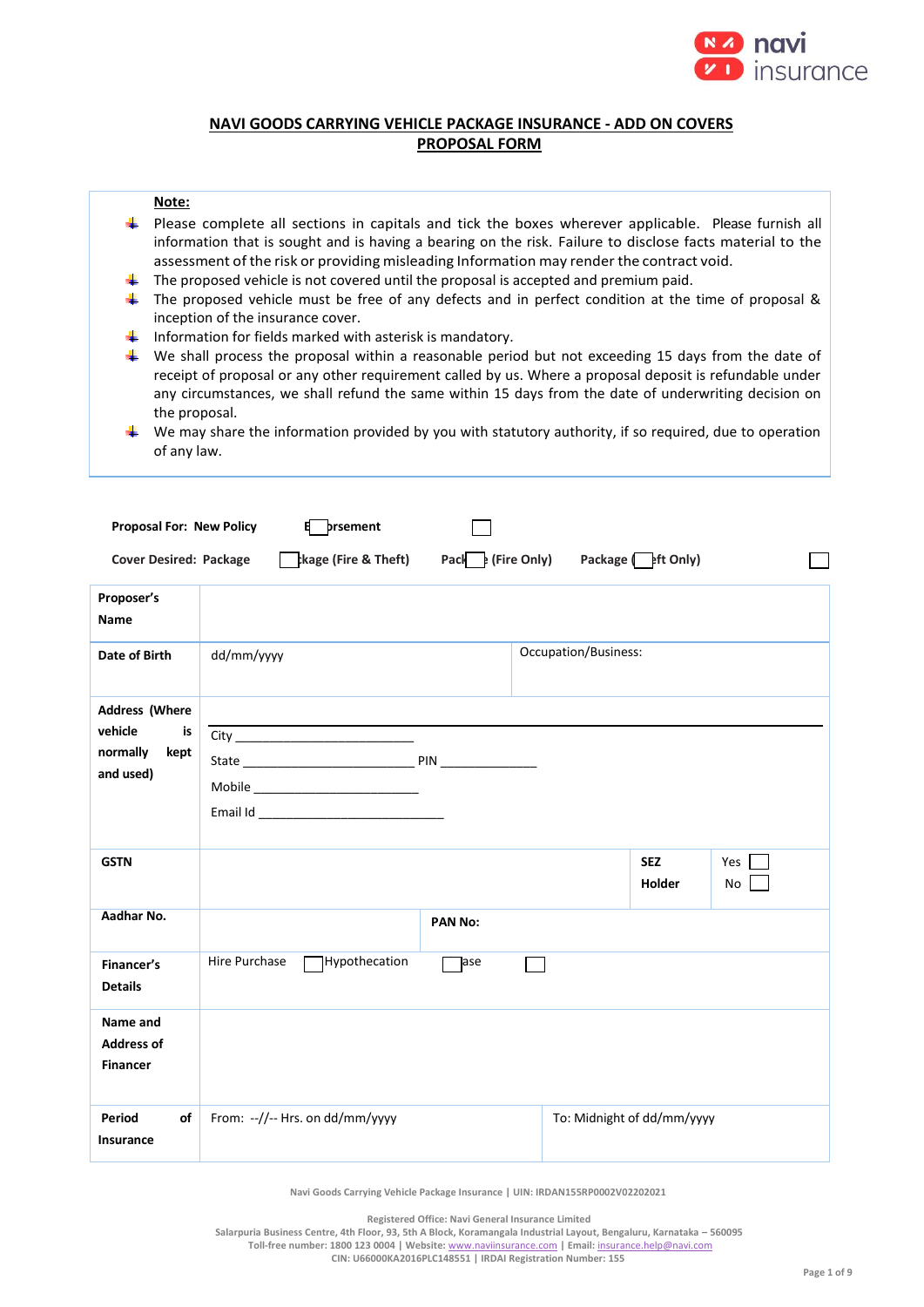

# **NAVI GOODS CARRYING VEHICLE PACKAGE INSURANCE - ADD ON COVERS PROPOSAL FORM**

### **Note:**

- $\ddot{\phantom{1}}$  Please complete all sections in capitals and tick the boxes wherever applicable. Please furnish all information that is sought and is having a bearing on the risk. Failure to disclose facts material to the assessment of the risk or providing misleading Information may render the contract void.
- ₩ The proposed vehicle is not covered until the proposal is accepted and premium paid.
- The proposed vehicle must be free of any defects and in perfect condition at the time of proposal & 41. inception of the insurance cover.
- $\ddot{\phantom{1}}$  Information for fields marked with asterisk is mandatory.
- $\blacklozenge$  We shall process the proposal within a reasonable period but not exceeding 15 days from the date of receipt of proposal or any other requirement called by us. Where a proposal deposit is refundable under any circumstances, we shall refund the same within 15 days from the date of underwriting decision on the proposal.
- $\ddot{\phantom{1}}$  We may share the information provided by you with statutory authority, if so required, due to operation of any law.

| <b>Proposal For: New Policy</b>                                         | 8<br>prsement                                                                                   |                                   |
|-------------------------------------------------------------------------|-------------------------------------------------------------------------------------------------|-----------------------------------|
| <b>Cover Desired: Package</b>                                           | $\frac{1}{2}$ kage (Fire & Theft) Pack $\frac{1}{2}$ (Fire Only) Package $\frac{1}{2}$ ft Only) |                                   |
| Proposer's<br><b>Name</b>                                               |                                                                                                 |                                   |
| Date of Birth                                                           | dd/mm/yyyy                                                                                      | Occupation/Business:              |
| <b>Address (Where</b><br>vehicle<br>is<br>normally<br>kept<br>and used) |                                                                                                 |                                   |
| <b>GSTN</b>                                                             |                                                                                                 | <b>SEZ</b><br>Yes<br>Holder<br>No |
| Aadhar No.                                                              | <b>PAN No:</b>                                                                                  |                                   |
| Financer's<br><b>Details</b>                                            | Hypothecation<br>Hire Purchase<br>Jase                                                          |                                   |
| Name and<br><b>Address of</b><br><b>Financer</b>                        |                                                                                                 |                                   |
| Period<br>of<br><b>Insurance</b>                                        | From: --//-- Hrs. on dd/mm/yyyy                                                                 | To: Midnight of dd/mm/yyyy        |

**Navi Goods Carrying Vehicle Package Insurance | UIN: IRDAN155RP0002V02202021**

**Registered Office: Navi General Insurance Limited**

**Salarpuria Business Centre, 4th Floor, 93, 5th A Block, Koramangala Industrial Layout, Bengaluru, Karnataka – 560095 Toll-free number: 1800 123 0004 | Website:** [www.naviinsurance.com](http://www.naviinsurance.com/) **| Email:** [insurance.help@navi.com](mailto:insurance.help@navi.com)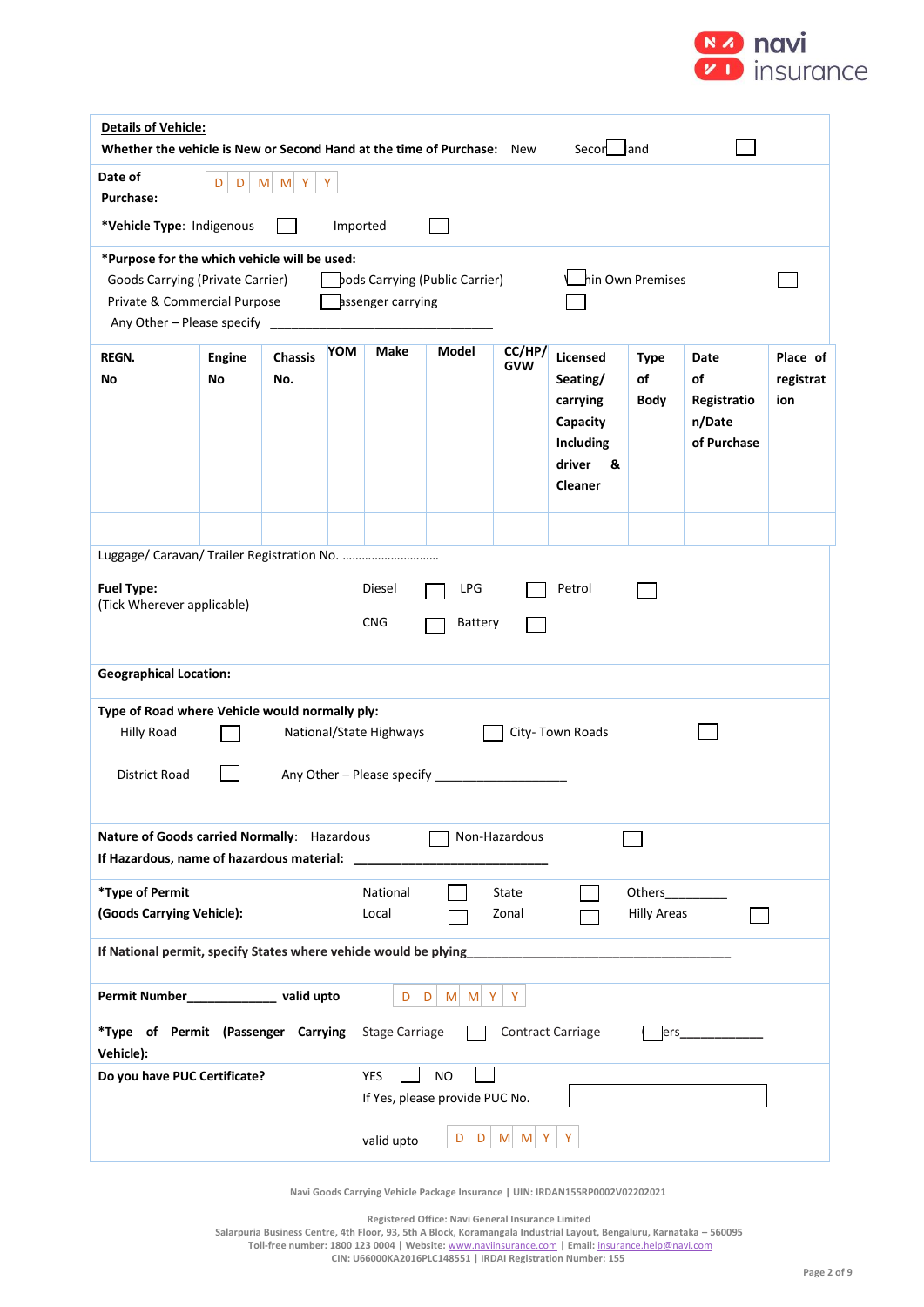

| <b>Details of Vehicle:</b><br>Whether the vehicle is New or Second Hand at the time of Purchase: New<br>Secon land                                |                            |                       |          |                                                     |       |                      |                                                                                                   |                           |                                                    |                              |
|---------------------------------------------------------------------------------------------------------------------------------------------------|----------------------------|-----------------------|----------|-----------------------------------------------------|-------|----------------------|---------------------------------------------------------------------------------------------------|---------------------------|----------------------------------------------------|------------------------------|
| Date of<br><b>Purchase:</b>                                                                                                                       | $M$ $M$ $Y$<br>Y<br>D<br>D |                       |          |                                                     |       |                      |                                                                                                   |                           |                                                    |                              |
| *Vehicle Type: Indigenous                                                                                                                         |                            |                       | Imported |                                                     |       |                      |                                                                                                   |                           |                                                    |                              |
| *Purpose for the which vehicle will be used:<br>Goods Carrying (Private Carrier)<br>Private & Commercial Purpose<br>Any Other - Please specify    |                            |                       |          | pods Carrying (Public Carrier)<br>assenger carrying |       | hin Own Premises     |                                                                                                   |                           |                                                    |                              |
| <b>REGN.</b><br>No                                                                                                                                | <b>Engine</b><br>No        | <b>Chassis</b><br>No. | YOM      | Make                                                | Model | CC/HP/<br><b>GVW</b> | <b>Licensed</b><br>Seating/<br>carrying<br>Capacity<br>Including<br>driver<br>&<br><b>Cleaner</b> | <b>Type</b><br>of<br>Body | Date<br>of<br>Registratio<br>n/Date<br>of Purchase | Place of<br>registrat<br>ion |
| Luggage/ Caravan/ Trailer Registration No.<br><b>Fuel Type:</b><br>Diesel<br>LPG<br>Petrol<br>(Tick Wherever applicable)<br><b>CNG</b><br>Battery |                            |                       |          |                                                     |       |                      |                                                                                                   |                           |                                                    |                              |
| <b>Geographical Location:</b>                                                                                                                     |                            |                       |          |                                                     |       |                      |                                                                                                   |                           |                                                    |                              |
| Type of Road where Vehicle would normally ply:<br>National/State Highways<br>City-Town Roads<br><b>Hilly Road</b><br>District Road                |                            |                       |          |                                                     |       |                      |                                                                                                   |                           |                                                    |                              |
| Nature of Goods carried Normally: Hazardous<br>Non-Hazardous<br>If Hazardous, name of hazardous material:                                         |                            |                       |          |                                                     |       |                      |                                                                                                   |                           |                                                    |                              |
| *Type of Permit<br>National<br>Others_<br>State<br>(Goods Carrying Vehicle):<br><b>Hilly Areas</b><br>Local<br>Zonal                              |                            |                       |          |                                                     |       |                      |                                                                                                   |                           |                                                    |                              |
| If National permit, specify States where vehicle would be plying                                                                                  |                            |                       |          |                                                     |       |                      |                                                                                                   |                           |                                                    |                              |
| Permit Number______________ valid upto<br>D<br>M M Y<br>Y<br>D                                                                                    |                            |                       |          |                                                     |       |                      |                                                                                                   |                           |                                                    |                              |
| *Type of Permit (Passenger Carrying<br>Vehicle):                                                                                                  |                            |                       |          | <b>Stage Carriage</b>                               |       |                      | <b>Contract Carriage</b>                                                                          | ers                       |                                                    |                              |
| <b>YES</b><br><b>NO</b><br>Do you have PUC Certificate?<br>If Yes, please provide PUC No.<br>Y<br>$M$ $M$ $Y$<br>D<br>D<br>valid upto             |                            |                       |          |                                                     |       |                      |                                                                                                   |                           |                                                    |                              |

**Registered Office: Navi General Insurance Limited**

**Salarpuria Business Centre, 4th Floor, 93, 5th A Block, Koramangala Industrial Layout, Bengaluru, Karnataka – 560095**

**Toll-free number: 1800 123 0004 | Website:** [www.naviinsurance.com](http://www.naviinsurance.com/) **| Email:** [insurance.help@navi.com](mailto:insurance.help@navi.com)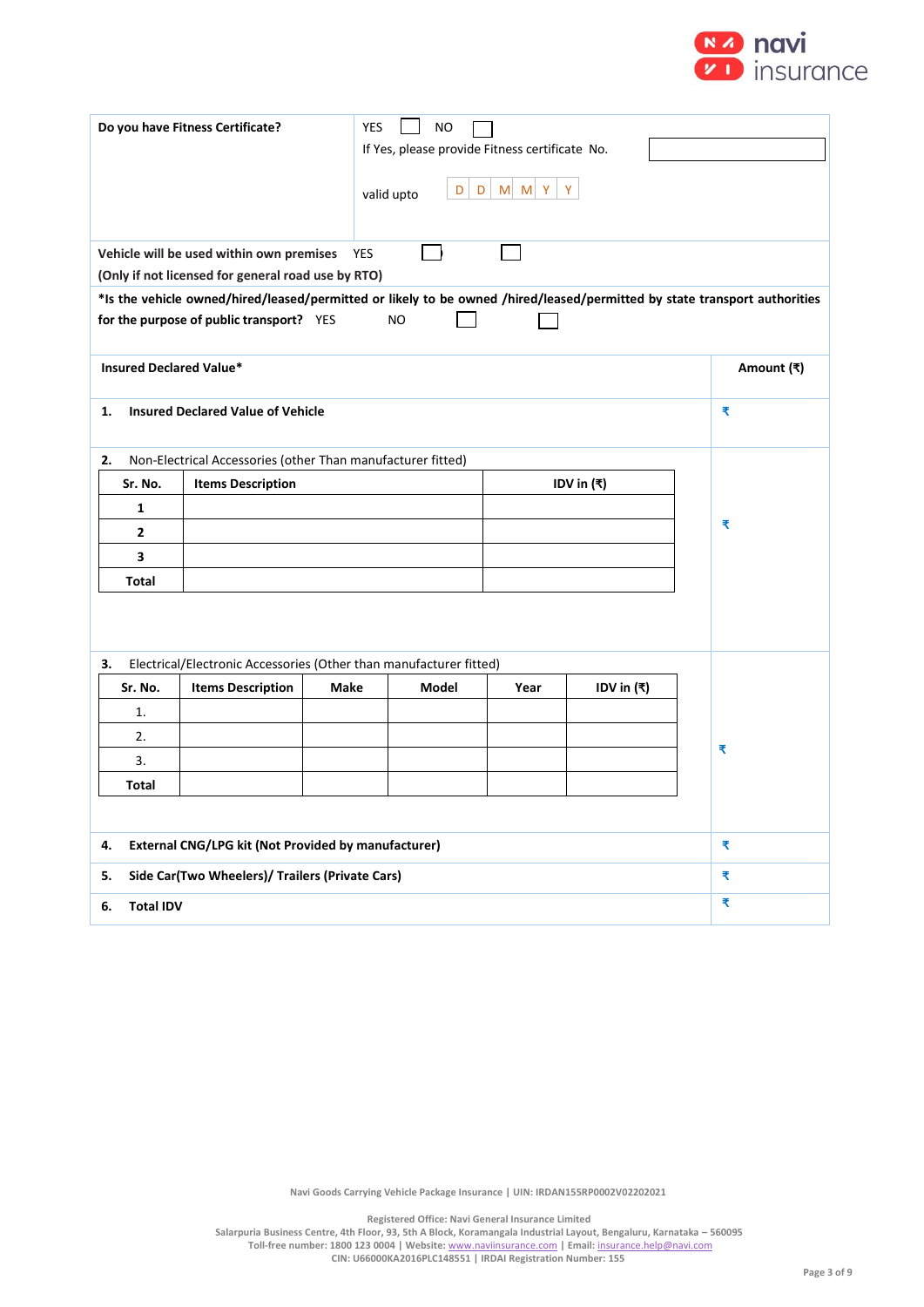

| Do you have Fitness Certificate?<br><b>YES</b><br><b>NO</b><br>If Yes, please provide Fitness certificate No.<br>D<br>D<br>$M$ $M$ $Y$<br>Y<br>valid upto |                                                                                                                                                                                 |            |           |      |              |            |  |
|-----------------------------------------------------------------------------------------------------------------------------------------------------------|---------------------------------------------------------------------------------------------------------------------------------------------------------------------------------|------------|-----------|------|--------------|------------|--|
|                                                                                                                                                           | Vehicle will be used within own premises                                                                                                                                        | <b>YES</b> |           |      |              |            |  |
|                                                                                                                                                           | (Only if not licensed for general road use by RTO)<br>*Is the vehicle owned/hired/leased/permitted or likely to be owned /hired/leased/permitted by state transport authorities |            |           |      |              |            |  |
|                                                                                                                                                           | for the purpose of public transport? YES                                                                                                                                        |            | <b>NO</b> |      |              |            |  |
| <b>Insured Declared Value*</b>                                                                                                                            |                                                                                                                                                                                 |            |           |      |              | Amount (₹) |  |
| 1.                                                                                                                                                        | <b>Insured Declared Value of Vehicle</b>                                                                                                                                        |            |           |      |              | ₹          |  |
| 2.                                                                                                                                                        | Non-Electrical Accessories (other Than manufacturer fitted)                                                                                                                     |            |           |      |              |            |  |
| Sr. No.                                                                                                                                                   | <b>Items Description</b><br>IDV in (₹)                                                                                                                                          |            |           |      |              |            |  |
| 1                                                                                                                                                         |                                                                                                                                                                                 |            |           |      |              |            |  |
| $\overline{2}$                                                                                                                                            |                                                                                                                                                                                 |            |           |      | ₹            |            |  |
| 3                                                                                                                                                         |                                                                                                                                                                                 |            |           |      |              |            |  |
| Total                                                                                                                                                     |                                                                                                                                                                                 |            |           |      |              |            |  |
|                                                                                                                                                           |                                                                                                                                                                                 |            |           |      |              |            |  |
| з.                                                                                                                                                        | Electrical/Electronic Accessories (Other than manufacturer fitted)                                                                                                              |            |           |      |              |            |  |
| Sr. No.                                                                                                                                                   | <b>Items Description</b>                                                                                                                                                        | Make       | Model     | Year | IDV in $(₹)$ |            |  |
| 1.                                                                                                                                                        |                                                                                                                                                                                 |            |           |      |              |            |  |
| 2.                                                                                                                                                        |                                                                                                                                                                                 |            |           |      |              | ₹          |  |
| 3.                                                                                                                                                        |                                                                                                                                                                                 |            |           |      |              |            |  |
| <b>Total</b>                                                                                                                                              |                                                                                                                                                                                 |            |           |      |              |            |  |
|                                                                                                                                                           |                                                                                                                                                                                 |            |           |      |              |            |  |
| External CNG/LPG kit (Not Provided by manufacturer)<br>4.                                                                                                 |                                                                                                                                                                                 |            |           |      |              | ₹          |  |
| Side Car(Two Wheelers)/ Trailers (Private Cars)<br>5.                                                                                                     |                                                                                                                                                                                 |            |           |      |              | ₹          |  |
| <b>Total IDV</b><br>6.                                                                                                                                    |                                                                                                                                                                                 |            |           |      | ₹            |            |  |

**Registered Office: Navi General Insurance Limited**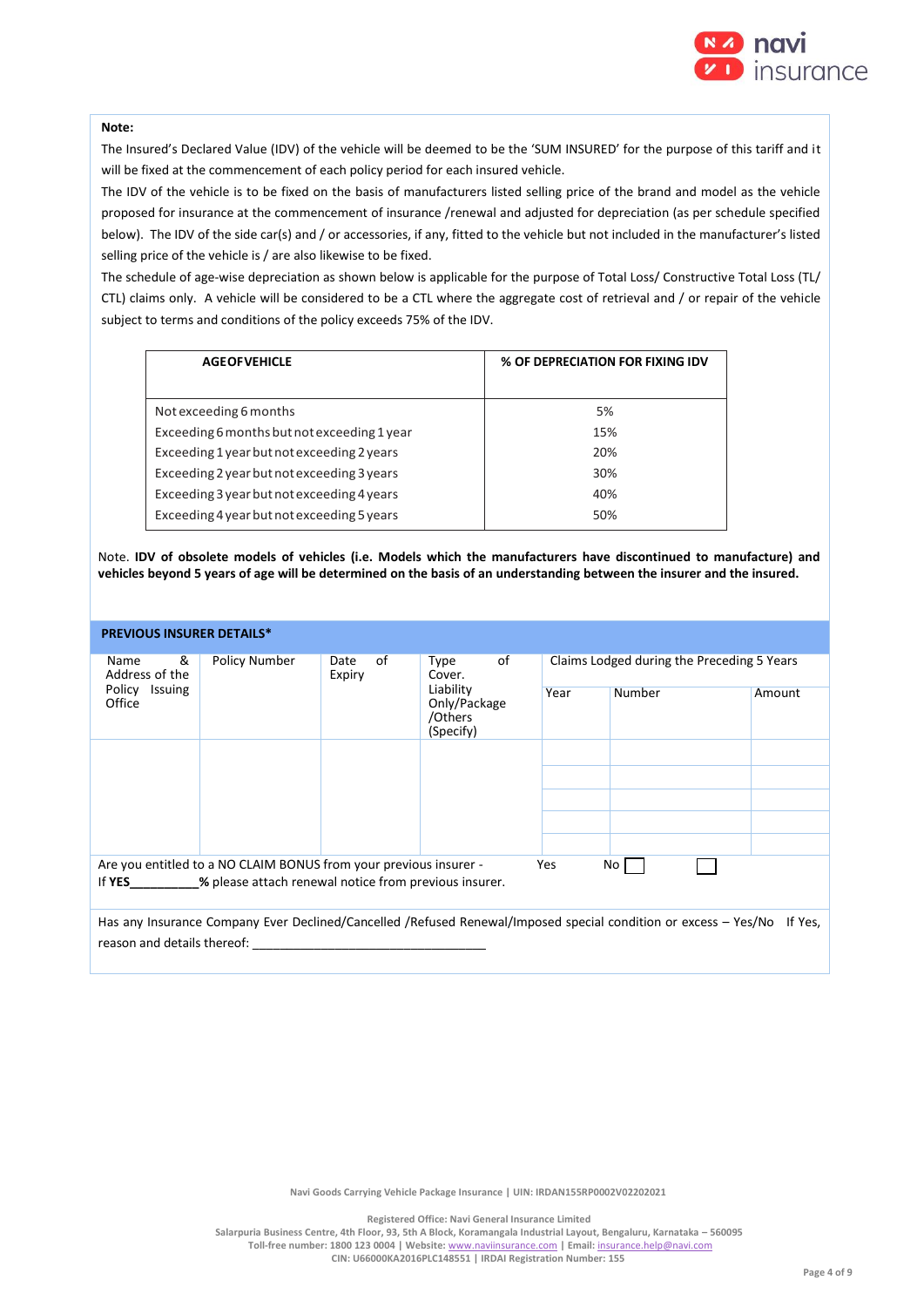

### **Note:**

The Insured's Declared Value (IDV) of the vehicle will be deemed to be the 'SUM INSURED' for the purpose of this tariff and it will be fixed at the commencement of each policy period for each insured vehicle.

The IDV of the vehicle is to be fixed on the basis of manufacturers listed selling price of the brand and model as the vehicle proposed for insurance at the commencement of insurance /renewal and adjusted for depreciation (as per schedule specified below). The IDV of the side car(s) and / or accessories, if any, fitted to the vehicle but not included in the manufacturer's listed selling price of the vehicle is / are also likewise to be fixed.

The schedule of age-wise depreciation as shown below is applicable for the purpose of Total Loss/ Constructive Total Loss (TL/ CTL) claims only. A vehicle will be considered to be a CTL where the aggregate cost of retrieval and / or repair of the vehicle subject to terms and conditions of the policy exceeds 75% of the IDV.

| <b>AGEOFVEHICLE</b>                         | % OF DEPRECIATION FOR FIXING IDV |
|---------------------------------------------|----------------------------------|
|                                             |                                  |
| Not exceeding 6 months                      | 5%                               |
| Exceeding 6 months but not exceeding 1 year | 15%                              |
| Exceeding 1 year but not exceeding 2 years  | 20%                              |
| Exceeding 2 year but not exceeding 3 years  | 30%                              |
| Exceeding 3 year but not exceeding 4 years  | 40%                              |
| Exceeding 4 year but not exceeding 5 years  | 50%                              |

Note. **IDV of obsolete models of vehicles (i.e. Models which the manufacturers have discontinued to manufacture) and vehicles beyond 5 years of age will be determined on the basis of an understanding between the insurer and the insured.**

#### **PREVIOUS INSURER DETAILS\***

| Policy Number<br>&<br>Name<br>οf<br>Date<br>Address of the<br>Expiry<br>Policy Issuing<br>Office                                                    |                                                   |      | of<br>Type<br>Cover. | Claims Lodged during the Preceding 5 Years |  |  |  |
|-----------------------------------------------------------------------------------------------------------------------------------------------------|---------------------------------------------------|------|----------------------|--------------------------------------------|--|--|--|
|                                                                                                                                                     | Liability<br>Only/Package<br>/Others<br>(Specify) | Year | Number               | Amount                                     |  |  |  |
|                                                                                                                                                     |                                                   |      |                      |                                            |  |  |  |
|                                                                                                                                                     |                                                   |      |                      |                                            |  |  |  |
|                                                                                                                                                     |                                                   |      |                      |                                            |  |  |  |
|                                                                                                                                                     |                                                   |      |                      |                                            |  |  |  |
|                                                                                                                                                     |                                                   |      |                      |                                            |  |  |  |
| Are you entitled to a NO CLAIM BONUS from your previous insurer -<br>Yes<br>No l<br>% please attach renewal notice from previous insurer.<br>If YES |                                                   |      |                      |                                            |  |  |  |
|                                                                                                                                                     |                                                   |      |                      |                                            |  |  |  |
| Has any Insurance Company Ever Declined/Cancelled /Refused Renewal/Imposed special condition or excess – Yes/No<br>If Yes,                          |                                                   |      |                      |                                            |  |  |  |
| reason and details thereof:                                                                                                                         |                                                   |      |                      |                                            |  |  |  |

**Navi Goods Carrying Vehicle Package Insurance | UIN: IRDAN155RP0002V02202021**

**Registered Office: Navi General Insurance Limited**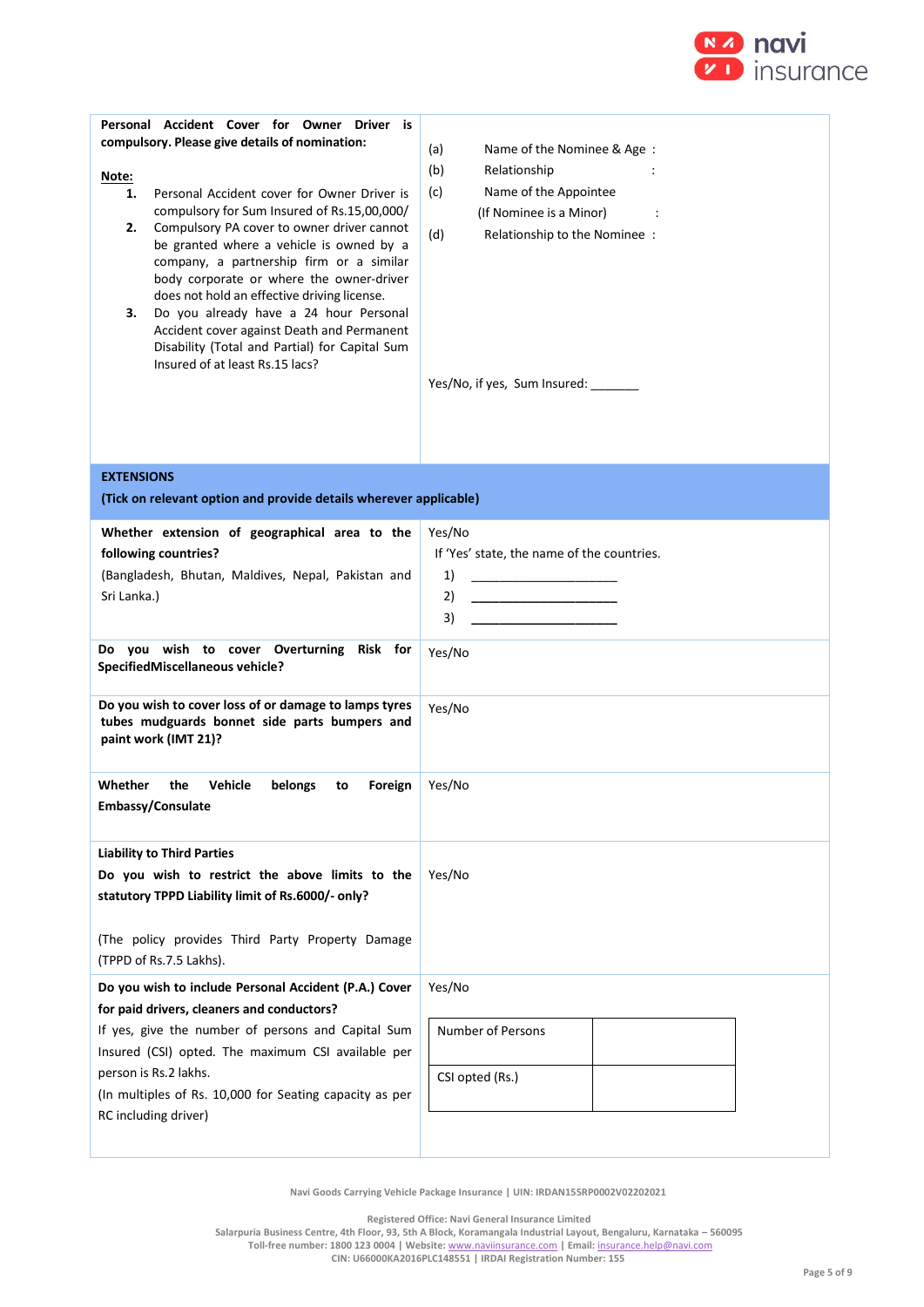

| Personal Accident Cover for Owner Driver is<br>compulsory. Please give details of nomination:<br>Note:<br>Personal Accident cover for Owner Driver is<br>1.<br>compulsory for Sum Insured of Rs.15,00,000/<br>Compulsory PA cover to owner driver cannot<br>2.<br>be granted where a vehicle is owned by a<br>company, a partnership firm or a similar<br>body corporate or where the owner-driver<br>does not hold an effective driving license.<br>Do you already have a 24 hour Personal<br>з.<br>Accident cover against Death and Permanent<br>Disability (Total and Partial) for Capital Sum<br>Insured of at least Rs.15 lacs? | (a)<br>Name of the Nominee & Age:<br>(b)<br>Relationship<br>(c)<br>Name of the Appointee<br>(If Nominee is a Minor)<br>(d)<br>Relationship to the Nominee :<br>Yes/No, if yes, Sum Insured: _______       |
|--------------------------------------------------------------------------------------------------------------------------------------------------------------------------------------------------------------------------------------------------------------------------------------------------------------------------------------------------------------------------------------------------------------------------------------------------------------------------------------------------------------------------------------------------------------------------------------------------------------------------------------|-----------------------------------------------------------------------------------------------------------------------------------------------------------------------------------------------------------|
| <b>EXTENSIONS</b><br>(Tick on relevant option and provide details wherever applicable)                                                                                                                                                                                                                                                                                                                                                                                                                                                                                                                                               |                                                                                                                                                                                                           |
| Whether extension of geographical area to the<br>following countries?<br>(Bangladesh, Bhutan, Maldives, Nepal, Pakistan and<br>Sri Lanka.)<br>Do you wish to cover Overturning Risk for<br>SpecifiedMiscellaneous vehicle?                                                                                                                                                                                                                                                                                                                                                                                                           | Yes/No<br>If 'Yes' state, the name of the countries.<br>1)<br>2)<br><u> 1989 - Johann Barn, mars and de Branch Barn, mars and de Branch Barn, mars and de Branch Barn, mars and de Br</u><br>3)<br>Yes/No |
| Do you wish to cover loss of or damage to lamps tyres<br>tubes mudguards bonnet side parts bumpers and<br>paint work (IMT 21)?                                                                                                                                                                                                                                                                                                                                                                                                                                                                                                       | Yes/No                                                                                                                                                                                                    |
| Whether<br><b>Vehicle</b><br>the<br>belongs<br>Foreign<br>to<br>Embassy/Consulate                                                                                                                                                                                                                                                                                                                                                                                                                                                                                                                                                    | Yes/No                                                                                                                                                                                                    |
| <b>Liability to Third Parties</b><br>Do you wish to restrict the above limits to the<br>statutory TPPD Liability limit of Rs.6000/- only?<br>(The policy provides Third Party Property Damage<br>(TPPD of Rs.7.5 Lakhs).                                                                                                                                                                                                                                                                                                                                                                                                             | Yes/No                                                                                                                                                                                                    |
| Do you wish to include Personal Accident (P.A.) Cover<br>for paid drivers, cleaners and conductors?<br>If yes, give the number of persons and Capital Sum<br>Insured (CSI) opted. The maximum CSI available per<br>person is Rs.2 lakhs.<br>(In multiples of Rs. 10,000 for Seating capacity as per                                                                                                                                                                                                                                                                                                                                  | Yes/No<br>Number of Persons<br>CSI opted (Rs.)                                                                                                                                                            |
| RC including driver)                                                                                                                                                                                                                                                                                                                                                                                                                                                                                                                                                                                                                 |                                                                                                                                                                                                           |

**Registered Office: Navi General Insurance Limited**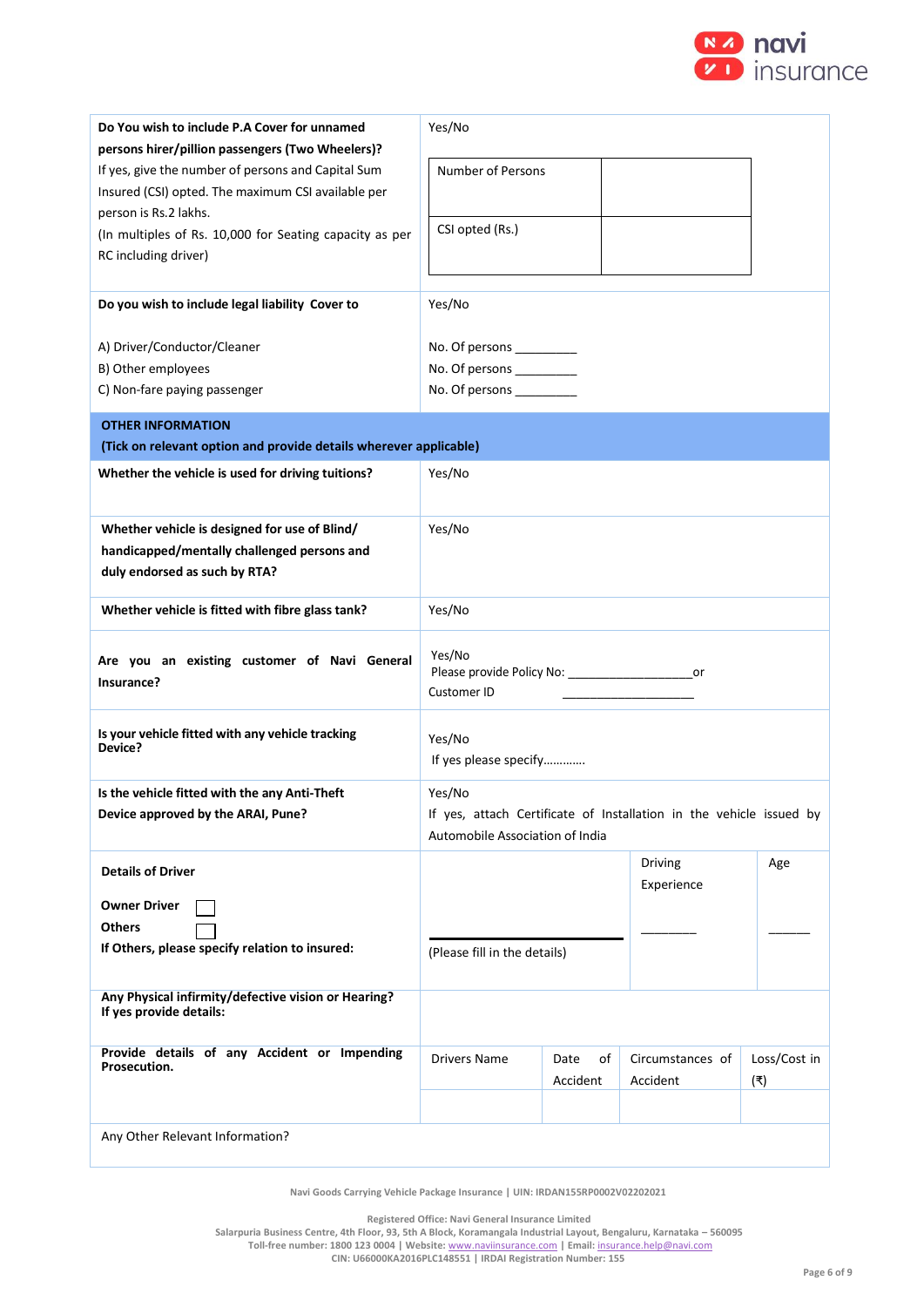

| Do You wish to include P.A Cover for unnamed                                    | Yes/No                                                          |            |                                                                     |              |
|---------------------------------------------------------------------------------|-----------------------------------------------------------------|------------|---------------------------------------------------------------------|--------------|
| persons hirer/pillion passengers (Two Wheelers)?                                |                                                                 |            |                                                                     |              |
| If yes, give the number of persons and Capital Sum                              | <b>Number of Persons</b>                                        |            |                                                                     |              |
| Insured (CSI) opted. The maximum CSI available per                              |                                                                 |            |                                                                     |              |
| person is Rs.2 lakhs.                                                           | CSI opted (Rs.)                                                 |            |                                                                     |              |
| (In multiples of Rs. 10,000 for Seating capacity as per<br>RC including driver) |                                                                 |            |                                                                     |              |
|                                                                                 |                                                                 |            |                                                                     |              |
| Do you wish to include legal liability Cover to                                 | Yes/No                                                          |            |                                                                     |              |
|                                                                                 |                                                                 |            |                                                                     |              |
| A) Driver/Conductor/Cleaner                                                     | No. Of persons __________                                       |            |                                                                     |              |
| B) Other employees                                                              | No. Of persons __________                                       |            |                                                                     |              |
| C) Non-fare paying passenger                                                    | No. Of persons ___________                                      |            |                                                                     |              |
| <b>OTHER INFORMATION</b>                                                        |                                                                 |            |                                                                     |              |
| (Tick on relevant option and provide details wherever applicable)               |                                                                 |            |                                                                     |              |
| Whether the vehicle is used for driving tuitions?                               | Yes/No                                                          |            |                                                                     |              |
|                                                                                 |                                                                 |            |                                                                     |              |
| Whether vehicle is designed for use of Blind/                                   | Yes/No                                                          |            |                                                                     |              |
| handicapped/mentally challenged persons and                                     |                                                                 |            |                                                                     |              |
| duly endorsed as such by RTA?                                                   |                                                                 |            |                                                                     |              |
|                                                                                 |                                                                 |            |                                                                     |              |
| Whether vehicle is fitted with fibre glass tank?                                | Yes/No                                                          |            |                                                                     |              |
|                                                                                 |                                                                 |            |                                                                     |              |
| Are you an existing customer of Navi General                                    | Yes/No<br>Please provide Policy No: _________________________or |            |                                                                     |              |
| Insurance?                                                                      | Customer ID                                                     |            |                                                                     |              |
|                                                                                 |                                                                 |            |                                                                     |              |
| Is your vehicle fitted with any vehicle tracking<br>Device?                     | Yes/No                                                          |            |                                                                     |              |
|                                                                                 | If yes please specify                                           |            |                                                                     |              |
| Is the vehicle fitted with the any Anti-Theft                                   | Yes/No                                                          |            |                                                                     |              |
| Device approved by the ARAI, Pune?                                              |                                                                 |            | If yes, attach Certificate of Installation in the vehicle issued by |              |
|                                                                                 | Automobile Association of India                                 |            |                                                                     |              |
| <b>Details of Driver</b>                                                        |                                                                 |            | <b>Driving</b>                                                      | Age          |
|                                                                                 |                                                                 |            | Experience                                                          |              |
| <b>Owner Driver</b>                                                             |                                                                 |            |                                                                     |              |
| <b>Others</b>                                                                   |                                                                 |            |                                                                     |              |
| If Others, please specify relation to insured:                                  | (Please fill in the details)                                    |            |                                                                     |              |
|                                                                                 |                                                                 |            |                                                                     |              |
| Any Physical infirmity/defective vision or Hearing?<br>If yes provide details:  |                                                                 |            |                                                                     |              |
|                                                                                 |                                                                 |            |                                                                     |              |
| Provide details of any Accident or Impending<br>Prosecution.                    | Drivers Name                                                    | Date<br>of | Circumstances of                                                    | Loss/Cost in |
|                                                                                 |                                                                 | Accident   | Accident                                                            | (₹)          |
|                                                                                 |                                                                 |            |                                                                     |              |
| Any Other Relevant Information?                                                 |                                                                 |            |                                                                     |              |
|                                                                                 |                                                                 |            |                                                                     |              |

**Registered Office: Navi General Insurance Limited**

**Salarpuria Business Centre, 4th Floor, 93, 5th A Block, Koramangala Industrial Layout, Bengaluru, Karnataka – 560095 Toll-free number: 1800 123 0004 | Website:** [www.naviinsurance.com](http://www.naviinsurance.com/) **| Email:** [insurance.help@navi.com](mailto:insurance.help@navi.com)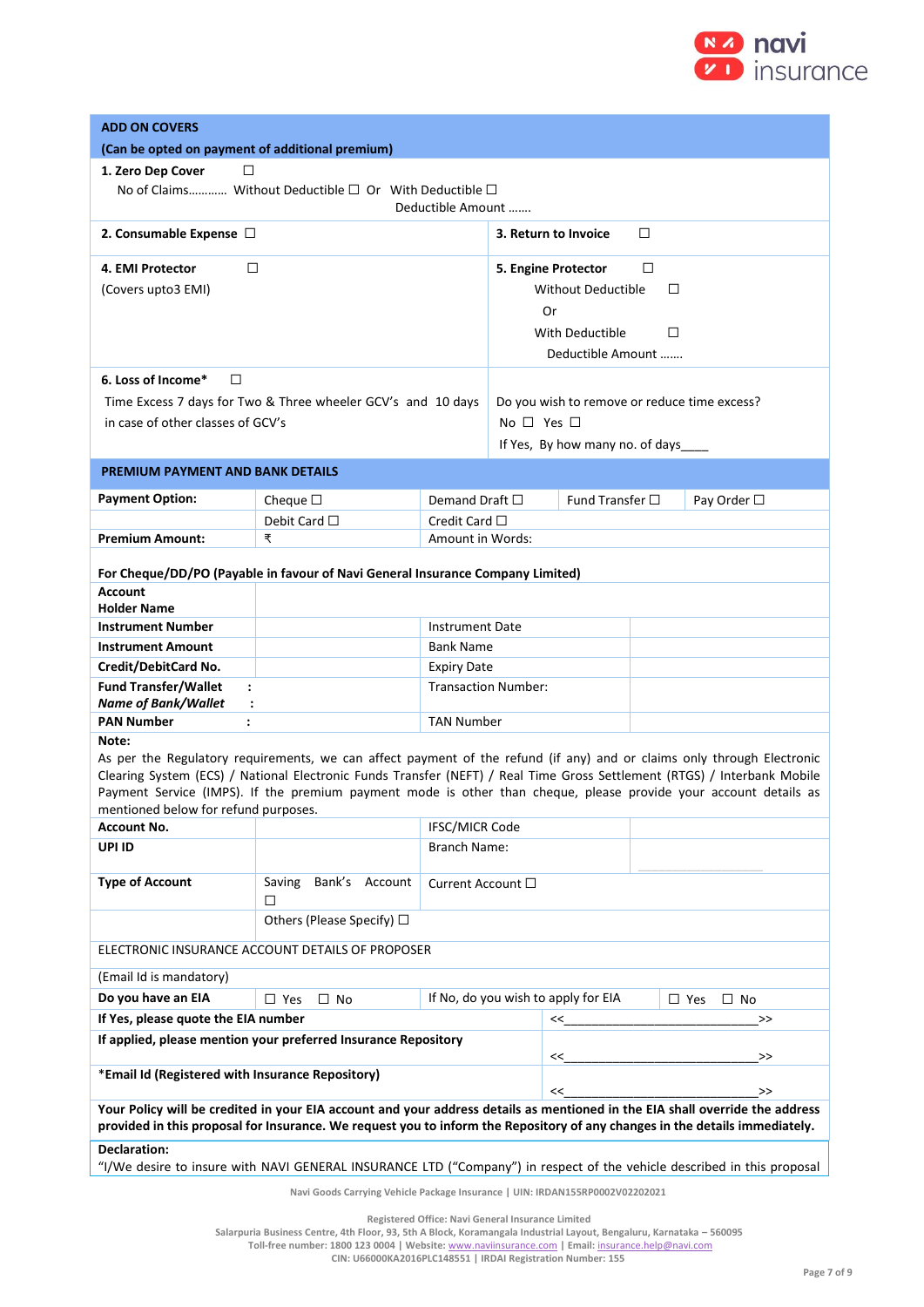

| <b>ADD ON COVERS</b>                                                          |                                                                                                                                                                                                                                                    |                                        |                      |                                              |   |                            |
|-------------------------------------------------------------------------------|----------------------------------------------------------------------------------------------------------------------------------------------------------------------------------------------------------------------------------------------------|----------------------------------------|----------------------|----------------------------------------------|---|----------------------------|
| (Can be opted on payment of additional premium)                               |                                                                                                                                                                                                                                                    |                                        |                      |                                              |   |                            |
| 1. Zero Dep Cover<br>□                                                        |                                                                                                                                                                                                                                                    |                                        |                      |                                              |   |                            |
|                                                                               | No of Claims Without Deductible $\square$ Or With Deductible $\square$                                                                                                                                                                             |                                        |                      |                                              |   |                            |
|                                                                               |                                                                                                                                                                                                                                                    | Deductible Amount                      |                      |                                              |   |                            |
|                                                                               | 2. Consumable Expense $\Box$<br>3. Return to Invoice<br>□                                                                                                                                                                                          |                                        |                      |                                              |   |                            |
| 4. EMI Protector<br>□                                                         |                                                                                                                                                                                                                                                    |                                        |                      | 5. Engine Protector                          | □ |                            |
| (Covers upto3 EMI)                                                            |                                                                                                                                                                                                                                                    |                                        |                      | <b>Without Deductible</b>                    | □ |                            |
|                                                                               |                                                                                                                                                                                                                                                    |                                        | Or                   |                                              |   |                            |
|                                                                               |                                                                                                                                                                                                                                                    |                                        | With Deductible<br>□ |                                              |   |                            |
|                                                                               |                                                                                                                                                                                                                                                    |                                        |                      | Deductible Amount                            |   |                            |
| 6. Loss of Income*<br>$\Box$                                                  |                                                                                                                                                                                                                                                    |                                        |                      |                                              |   |                            |
|                                                                               | Time Excess 7 days for Two & Three wheeler GCV's and 10 days                                                                                                                                                                                       |                                        |                      | Do you wish to remove or reduce time excess? |   |                            |
| in case of other classes of GCV's                                             |                                                                                                                                                                                                                                                    |                                        | No $\Box$ Yes $\Box$ |                                              |   |                            |
|                                                                               |                                                                                                                                                                                                                                                    |                                        |                      | If Yes, By how many no. of days              |   |                            |
| <b>PREMIUM PAYMENT AND BANK DETAILS</b>                                       |                                                                                                                                                                                                                                                    |                                        |                      |                                              |   |                            |
|                                                                               |                                                                                                                                                                                                                                                    |                                        |                      |                                              |   |                            |
| <b>Payment Option:</b>                                                        | Cheque $\square$                                                                                                                                                                                                                                   | Demand Draft $\square$                 |                      | Fund Transfer $\square$                      |   | Pay Order □                |
| <b>Premium Amount:</b>                                                        | Debit Card $\square$<br>₹                                                                                                                                                                                                                          | Credit Card $\Box$<br>Amount in Words: |                      |                                              |   |                            |
|                                                                               |                                                                                                                                                                                                                                                    |                                        |                      |                                              |   |                            |
|                                                                               | For Cheque/DD/PO (Payable in favour of Navi General Insurance Company Limited)                                                                                                                                                                     |                                        |                      |                                              |   |                            |
| <b>Account</b>                                                                |                                                                                                                                                                                                                                                    |                                        |                      |                                              |   |                            |
| <b>Holder Name</b>                                                            |                                                                                                                                                                                                                                                    |                                        |                      |                                              |   |                            |
| <b>Instrument Number</b>                                                      |                                                                                                                                                                                                                                                    | <b>Instrument Date</b>                 |                      |                                              |   |                            |
| <b>Instrument Amount</b><br>Credit/DebitCard No.                              |                                                                                                                                                                                                                                                    | <b>Bank Name</b><br><b>Expiry Date</b> |                      |                                              |   |                            |
| <b>Fund Transfer/Wallet</b><br>$\ddot{\phantom{a}}$                           |                                                                                                                                                                                                                                                    | <b>Transaction Number:</b>             |                      |                                              |   |                            |
| <b>Name of Bank/Wallet</b><br>$\ddot{\phantom{a}}$                            |                                                                                                                                                                                                                                                    |                                        |                      |                                              |   |                            |
| <b>PAN Number</b><br>$\ddot{\phantom{a}}$                                     |                                                                                                                                                                                                                                                    | <b>TAN Number</b>                      |                      |                                              |   |                            |
| Note:                                                                         |                                                                                                                                                                                                                                                    |                                        |                      |                                              |   |                            |
|                                                                               | As per the Regulatory requirements, we can affect payment of the refund (if any) and or claims only through Electronic<br>Clearing System (ECS) / National Electronic Funds Transfer (NEFT) / Real Time Gross Settlement (RTGS) / Interbank Mobile |                                        |                      |                                              |   |                            |
|                                                                               | Payment Service (IMPS). If the premium payment mode is other than cheque, please provide your account details as                                                                                                                                   |                                        |                      |                                              |   |                            |
| mentioned below for refund purposes.                                          |                                                                                                                                                                                                                                                    |                                        |                      |                                              |   |                            |
| IFSC/MICR Code<br><b>Account No.</b>                                          |                                                                                                                                                                                                                                                    |                                        |                      |                                              |   |                            |
| UPI ID                                                                        |                                                                                                                                                                                                                                                    | Branch Name:                           |                      |                                              |   |                            |
| <b>Type of Account</b>                                                        | Bank's Account<br>Saving<br>□                                                                                                                                                                                                                      | Current Account $\square$              |                      |                                              |   |                            |
|                                                                               | Others (Please Specify) □                                                                                                                                                                                                                          |                                        |                      |                                              |   |                            |
|                                                                               | ELECTRONIC INSURANCE ACCOUNT DETAILS OF PROPOSER                                                                                                                                                                                                   |                                        |                      |                                              |   |                            |
| (Email Id is mandatory)                                                       |                                                                                                                                                                                                                                                    |                                        |                      |                                              |   |                            |
| Do you have an EIA                                                            | $\Box$ Yes<br>$\Box$ No                                                                                                                                                                                                                            |                                        |                      | If No, do you wish to apply for EIA          |   | $\square$ Yes<br>$\Box$ No |
| If Yes, please quote the EIA number                                           |                                                                                                                                                                                                                                                    |                                        | $>\,>$<br><<         |                                              |   |                            |
| If applied, please mention your preferred Insurance Repository<br>$\gt$<br><< |                                                                                                                                                                                                                                                    |                                        |                      |                                              |   |                            |
| *Email Id (Registered with Insurance Repository)                              |                                                                                                                                                                                                                                                    |                                        |                      | <<                                           |   | $\,>$                      |
|                                                                               | Your Policy will be credited in your EIA account and your address details as mentioned in the EIA shall override the address                                                                                                                       |                                        |                      |                                              |   |                            |
|                                                                               | provided in this proposal for Insurance. We request you to inform the Repository of any changes in the details immediately.                                                                                                                        |                                        |                      |                                              |   |                            |
| <b>Declaration:</b>                                                           |                                                                                                                                                                                                                                                    |                                        |                      |                                              |   |                            |
|                                                                               | "I/We desire to insure with NAVI GENERAL INSURANCE LTD ("Company") in respect of the vehicle described in this proposal                                                                                                                            |                                        |                      |                                              |   |                            |
|                                                                               | Navi Goods Carrying Vehicle Package Insurance   UIN: IRDAN155RP0002V02202021                                                                                                                                                                       |                                        |                      |                                              |   |                            |

**Registered Office: Navi General Insurance Limited**

**Toll-free number: 1800 123 0004 | Website:** [www.naviinsurance.com](http://www.naviinsurance.com/) **| Email:** [insurance.help@navi.com](mailto:insurance.help@navi.com)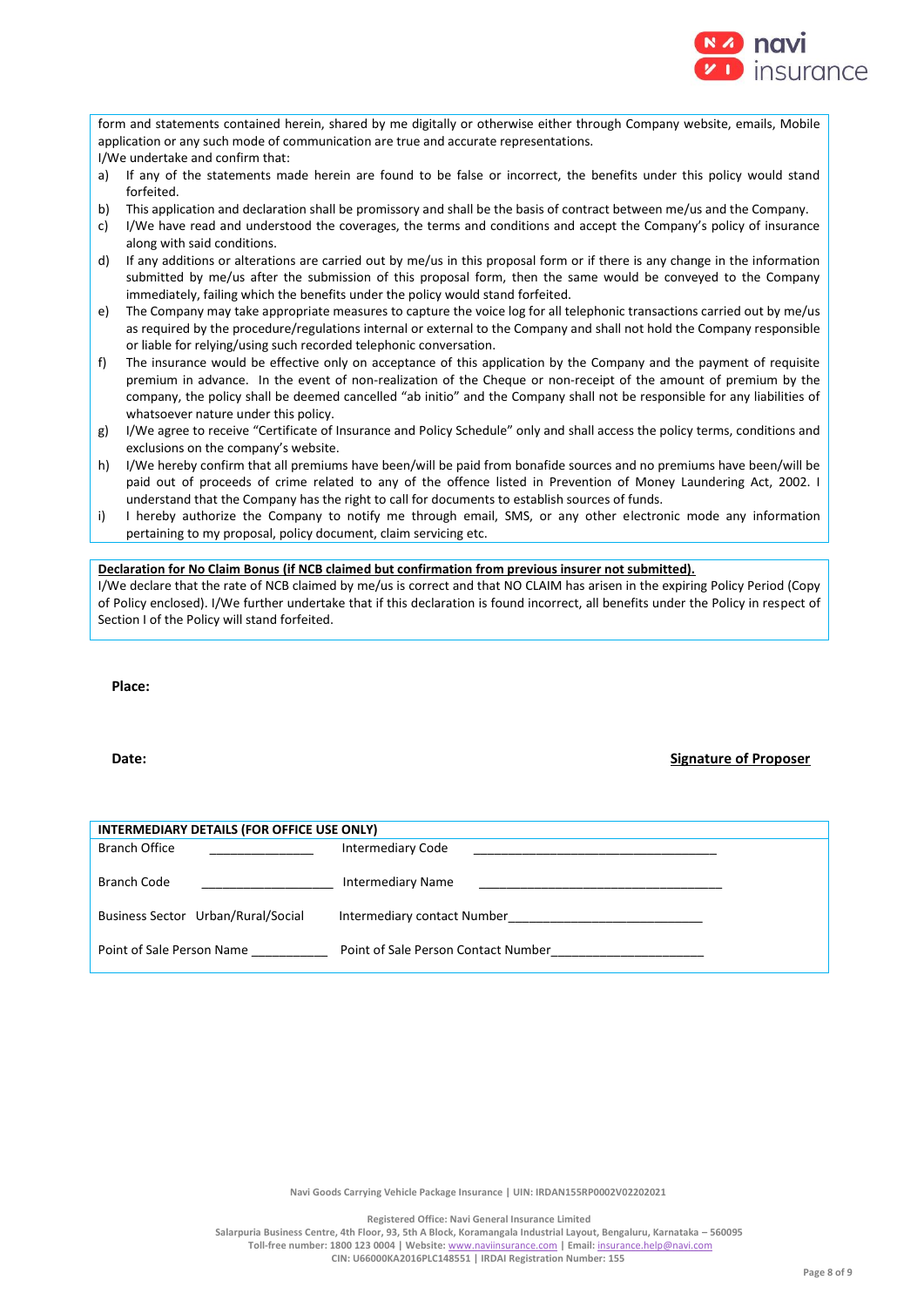

form and statements contained herein, shared by me digitally or otherwise either through Company website, emails, Mobile application or any such mode of communication are true and accurate representations. I/We undertake and confirm that:

- a) If any of the statements made herein are found to be false or incorrect, the benefits under this policy would stand forfeited.
- b) This application and declaration shall be promissory and shall be the basis of contract between me/us and the Company.
- c) I/We have read and understood the coverages, the terms and conditions and accept the Company's policy of insurance along with said conditions.
- d) If any additions or alterations are carried out by me/us in this proposal form or if there is any change in the information submitted by me/us after the submission of this proposal form, then the same would be conveyed to the Company immediately, failing which the benefits under the policy would stand forfeited.
- e) The Company may take appropriate measures to capture the voice log for all telephonic transactions carried out by me/us as required by the procedure/regulations internal or external to the Company and shall not hold the Company responsible or liable for relying/using such recorded telephonic conversation.
- f) The insurance would be effective only on acceptance of this application by the Company and the payment of requisite premium in advance. In the event of non-realization of the Cheque or non-receipt of the amount of premium by the company, the policy shall be deemed cancelled "ab initio" and the Company shall not be responsible for any liabilities of whatsoever nature under this policy.
- g) I/We agree to receive "Certificate of Insurance and Policy Schedule" only and shall access the policy terms, conditions and exclusions on the company's website.
- h) I/We hereby confirm that all premiums have been/will be paid from bonafide sources and no premiums have been/will be paid out of proceeds of crime related to any of the offence listed in Prevention of Money Laundering Act, 2002. I understand that the Company has the right to call for documents to establish sources of funds.
- i) I hereby authorize the Company to notify me through email, SMS, or any other electronic mode any information pertaining to my proposal, policy document, claim servicing etc.

# **Declaration for No Claim Bonus (if NCB claimed but confirmation from previous insurer not submitted).**

I/We declare that the rate of NCB claimed by me/us is correct and that NO CLAIM has arisen in the expiring Policy Period (Copy of Policy enclosed). I/We further undertake that if this declaration is found incorrect, all benefits under the Policy in respect of Section I of the Policy will stand forfeited.

**Place:**

# **Date: Signature of Proposer**

| INTERMEDIARY DETAILS (FOR OFFICE USE ONLY) |                                     |  |  |  |
|--------------------------------------------|-------------------------------------|--|--|--|
| <b>Branch Office</b>                       | <b>Intermediary Code</b>            |  |  |  |
| Branch Code                                | <b>Intermediary Name</b>            |  |  |  |
| Business Sector Urban/Rural/Social         | Intermediary contact Number         |  |  |  |
| Point of Sale Person Name                  | Point of Sale Person Contact Number |  |  |  |

**Navi Goods Carrying Vehicle Package Insurance | UIN: IRDAN155RP0002V02202021**

**Registered Office: Navi General Insurance Limited**